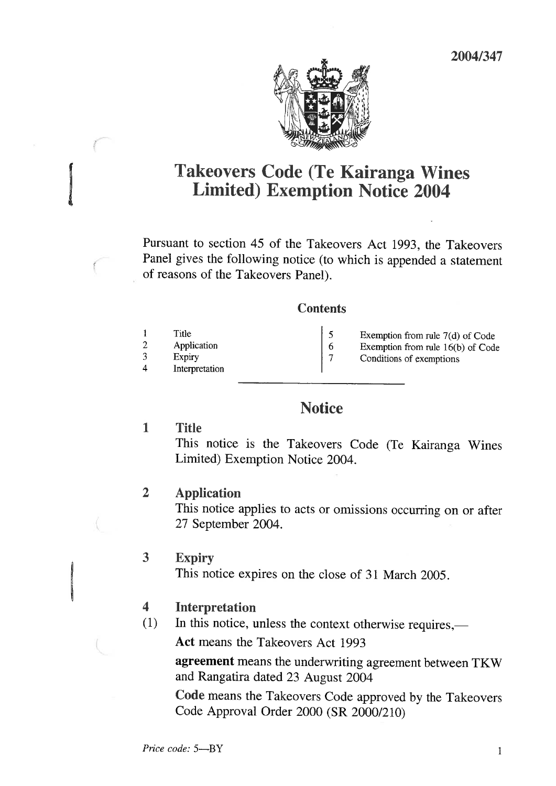

# Takeovers Code (Te Kairanga Wines Limited) Exemption Notice 2004

Pursuant to section 45 of the Takeovers Act 1993, the Takeovers Panel gives the following notice (to which is appended a statement of reasons of the Takeovers Panel).

### **Contents**

| Title<br>Application<br>Expiry<br>Interpretation | Exemption from rule $7(d)$ of Code<br>Exemption from rule $16(b)$ of Code<br>Conditions of exemptions |
|--------------------------------------------------|-------------------------------------------------------------------------------------------------------|
|                                                  |                                                                                                       |

## **Notice**

## 1 Title

This notice is the Takeovers Code (Te Kairanga Wines Limited) Exemption Notice 2004.

## 2 Application

This notice applies to acts or omissions occurring on or after 27 September 2004.

## 3 Expiry

This notice expires on the close of 31 March 2005.

## 4 Interpretation

(1) In this notice, unless the context otherwise requires,—

Act means the Takeovers Act 1993

agreement means the underwriting agreement between TKW and Rangatira dated 23 August 2004

Code means the Takeovers Code approved by the Takeovers Code Approval Order 2000 (SR 2000/210)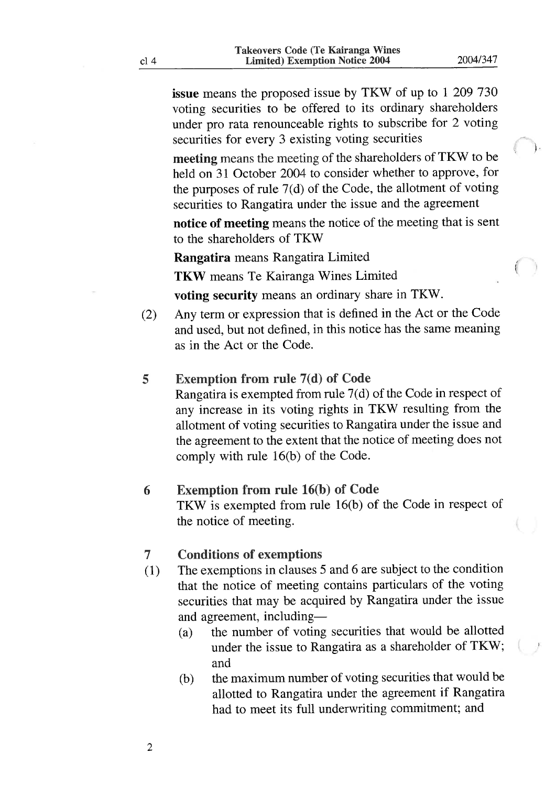issue means the proposed issue by TKW of up to 1 209 730 voting securities to be offered to its ordinary shareholders under pro rata renounceable rights to subscribe for 2 voting securities for every 3 existing voting securities

meeting means the meeting of the shareholders of TKW to be held on 31 October 2004 to consider whether to approve, for the purposes of rule  $7(d)$  of the Code, the allotment of voting securities to Rangatira under the issue and the agreement

notice of meeting means the notice of the meeting that is sent to the shareholders of TKW

Rangatira means Rangatira Limited

TKW means Te Kairanga Wines Limited

voting security means an ordinary share in TKW.

(2) Any term or expression that is defined in the Act or the Code and used, but not defined, in this notice has the same meaning as in the Act or the Code.

### 5 Exemption from rule 7(d) of Code

Rangatira is exempted from rule 7(d) of the Code in respect of any increase in its voting rights in TKW resulting from the allotment of voting securities to Rangatira under the issue and the agreement to the extent that the notice of meeting does not comply with rule 16(b) of the Code.

#### 6 Exemption from rule 16(b) of Code

TKW is exempted from rule 16(b) of the Code in respect of the notice of meeting.

#### 7 Conditions of exemptions

- (1) The exemptions in clauses 5 and 6 are subject to the condition that the notice of meeting contains particulars of the voting securities that may be acquired by Rangatira under the issue and agreement, including—
	- (a) the number of voting securities that would be allotted under the issue to Rangatira as a shareholder of TKW; and
	- (b) the maximum number of voting securities that would be allotted to Rangatira under the agreement if Rangatira had to meet its full underwriting commitment; and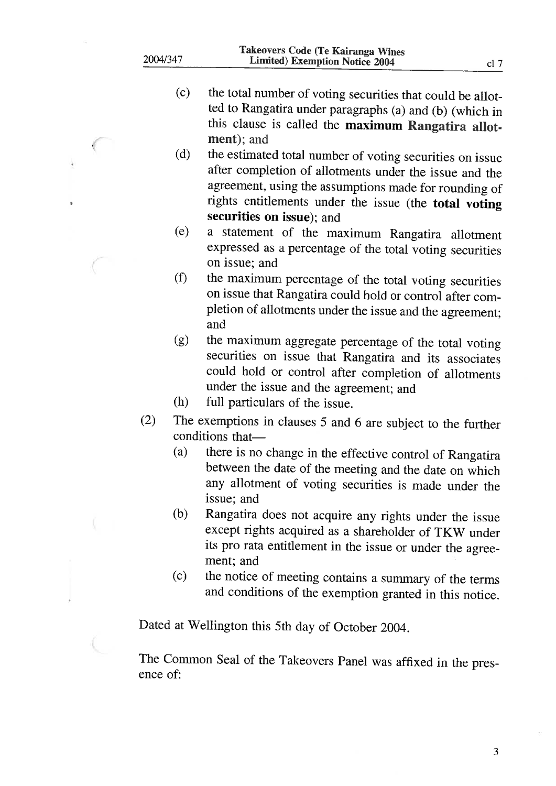|          | Takeovers Code (Te Kairanga Wines     |  |
|----------|---------------------------------------|--|
| 2004/347 | <b>Limited) Exemption Notice 2004</b> |  |
|          |                                       |  |

- (c) the total number of voting securities that could be allotted to Rangatira under paragraphs (a) and (b) (which in this clause is called the maximum Rangatira allotment); and
- (d) the estimated total number of voting securities on issue after completion of allotments under the issue and the agreement, using the assumptions made for rounding of rights entitlements under the issue (the total voting securities on issue); and
- (e) a statement of the maximum Rangatira allotment expressed as a percentage of the total voting securities on issue; and
- (f) the maximum percentage of the total voting securities on issue that Rangatira could hold or control after completion of allotments under the issue and the agreement; and
- (g) the maximum aggregate percentage of the total voting securities on issue that Rangatira and its associates could hold or control after completion of allotments under the issue and the agreement; and
- (h) full particulars of the issue.
- (2) The exemptions in clauses 5 and 6 are subject to the further conditions that—
	- (a) there is no change in the effective control of Rangatira between the date of the meeting and the date on which any allotment of voting securities is made under the issue; and
	- (b) Rangatira does not acquire any rights under the issue except rights acquired as a shareholder of TKW under its pro rata entitlement in the issue or under the agreement; and
	- (c) the notice of meeting contains a summary of the terms and conditions of the exemption granted in this notice.

Dated at Wellington this 5th day of October 2004.

The Common Seal of the Takeovers Panel was affixed in the presence of: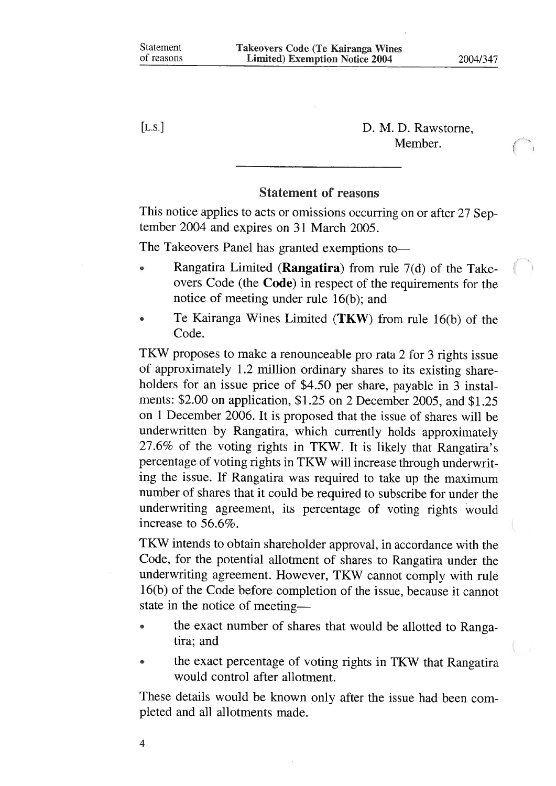[L.S.] D. M. D. Rawstome, Member.

### Statement of reasons

This notice applies to acts or omissions occurring on or after 27 September 2004 and expires on 31 March 2005.

The Takeovers Panel has granted exemptions to-

- Rangatira Limited (**Rangatira**) from rule  $7(d)$  of the Takeovers Code (the Code) in respect of the requirements for the notice of meeting under mle 16(b); and
- Te Kairanga Wines Limited (TKW) from rule 16(b) of the Code.

TKW proposes to make a renounceable pro rata 2 for 3 rights issue of approximately 1.2 million ordinary shares to its existing shareholders for an issue price of \$4.50 per share, payable in 3 instalments: \$2.00 on application, \$1.25 on 2 December 2005, and \$1.25 on 1 December 2006. It is proposed that the issue of shares will be underwritten by Rangatira, which currently holds approximately 27.6% of the voting rights in TKW. It is likely that Rangatira's percentage of voting rights in TKW will increase through underwriting the issue. If Rangatira was required to take up the maximum number of shares that it could be required to subscribe for under the underwriting agreement, its percentage of voting rights would increase to 56.6%.

TKW intends to obtain shareholder approval, in accordance with the Code, for the potential allotment of shares to Rangatira under the underwriting agreement. However, TKW cannot comply with rule 16(b) of the Code before completion of the issue, because it cannot state in the notice of meeting—

- the exact number of shares that would be allotted to Rangatira; and
- the exact percentage of voting rights in TKW that Rangatira would control after allotment.

These details would be known only after the issue had been completed and all allotments made.

4